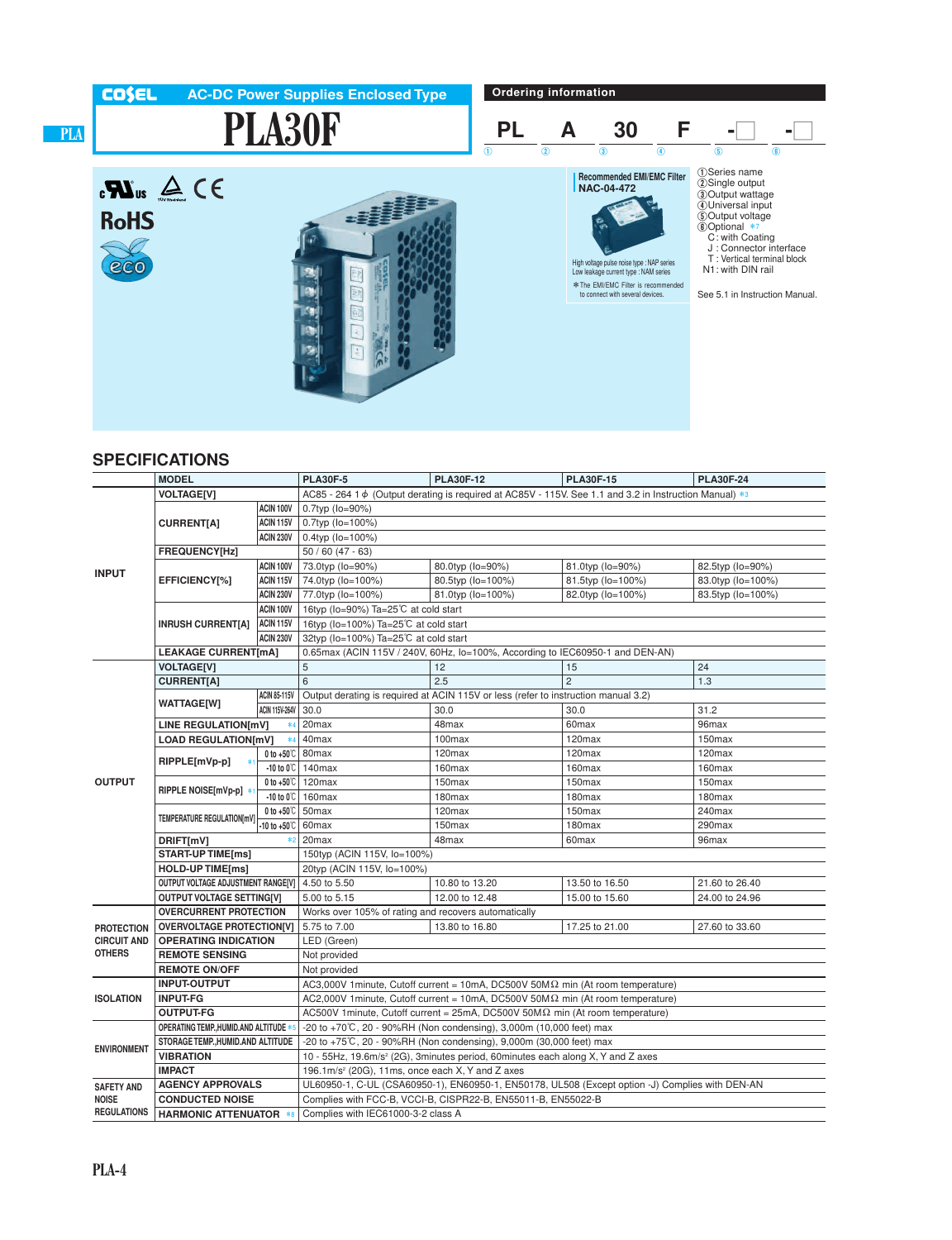

## **SPECIFICATIONS**

|                                                          | <b>MODEL</b>                            |                               | <b>PLA30F-5</b>                                                                                             | <b>PLA30F-12</b>                                             | <b>PLA30F-15</b>   | <b>PLA30F-24</b>   |  |  |  |  |
|----------------------------------------------------------|-----------------------------------------|-------------------------------|-------------------------------------------------------------------------------------------------------------|--------------------------------------------------------------|--------------------|--------------------|--|--|--|--|
| <b>INPUT</b>                                             | <b>VOLTAGE[V]</b>                       |                               | AC85 - 264 1 $\phi$ (Output derating is required at AC85V - 115V. See 1.1 and 3.2 in Instruction Manual) *3 |                                                              |                    |                    |  |  |  |  |
|                                                          |                                         | ACIN 100V                     | 0.7typ (lo=90%)                                                                                             |                                                              |                    |                    |  |  |  |  |
|                                                          | <b>CURRENT[A]</b>                       | ACIN 115V                     | 0.7typ (lo=100%)                                                                                            |                                                              |                    |                    |  |  |  |  |
|                                                          |                                         | <b>ACIN 230V</b>              | 0.4typ (lo=100%)                                                                                            |                                                              |                    |                    |  |  |  |  |
|                                                          | FREQUENCY[Hz]                           |                               | $50/60(47 - 63)$                                                                                            |                                                              |                    |                    |  |  |  |  |
|                                                          |                                         | ACIN 100V                     | 80.0typ (lo=90%)<br>81.0typ (lo=90%)<br>82.5typ (lo=90%)<br>73.0typ (lo=90%)                                |                                                              |                    |                    |  |  |  |  |
|                                                          | EFFICIENCY[%]                           | ACIN 115V                     | 74.0typ (lo=100%)                                                                                           | 80.5typ (lo=100%)<br>81.5typ (lo=100%)                       |                    | 83.0typ (lo=100%)  |  |  |  |  |
|                                                          |                                         | <b>ACIN 230V</b>              | 77.0typ (lo=100%)                                                                                           | 81.0typ (lo=100%)                                            | 82.0typ (lo=100%)  | 83.5typ (lo=100%)  |  |  |  |  |
|                                                          | <b>INRUSH CURRENT[A]</b>                | ACIN 100V                     | 16typ (lo=90%) Ta=25℃ at cold start                                                                         |                                                              |                    |                    |  |  |  |  |
|                                                          |                                         | <b>ACIN 115V</b>              | 16typ (lo=100%) Ta=25℃ at cold start                                                                        |                                                              |                    |                    |  |  |  |  |
|                                                          |                                         | <b>ACIN 230V</b>              | 32typ (lo=100%) Ta=25℃ at cold start                                                                        |                                                              |                    |                    |  |  |  |  |
|                                                          | <b>LEAKAGE CURRENT[mA]</b>              |                               | 0.65max (ACIN 115V / 240V, 60Hz, lo=100%, According to IEC60950-1 and DEN-AN)                               |                                                              |                    |                    |  |  |  |  |
|                                                          | <b>VOLTAGE[V]</b>                       |                               | 5                                                                                                           | 12                                                           | 15                 | 24                 |  |  |  |  |
|                                                          | <b>CURRENT[A]</b>                       |                               | 6                                                                                                           | 2.5                                                          | $\overline{2}$     | 1.3                |  |  |  |  |
|                                                          | <b>WATTAGE[W]</b>                       | <b>ACIN 85-115V</b>           | Output derating is required at ACIN 115V or less (refer to instruction manual 3.2)                          |                                                              |                    |                    |  |  |  |  |
|                                                          |                                         | <b>ACIN 115V-264V</b>         | 30.0                                                                                                        | 30.0<br>30.0                                                 |                    | 31.2               |  |  |  |  |
|                                                          | LINE REGULATION[mV]<br>$*4$             |                               | 20 <sub>max</sub>                                                                                           | 48max                                                        | 60 <sub>max</sub>  | 96max              |  |  |  |  |
|                                                          | <b>LOAD REGULATION[mV]</b>              | $*4$                          | 40 <sub>max</sub>                                                                                           | 100max                                                       | 120 <sub>max</sub> | 150 <sub>max</sub> |  |  |  |  |
|                                                          | RIPPLE[mVp-p]                           | 0 to $+50^{\circ}$ 80 max     |                                                                                                             | 120max                                                       | 120max             | 120max             |  |  |  |  |
|                                                          |                                         |                               | $-10$ to 0°C   140 max                                                                                      | 160max                                                       | 160max             | 160max             |  |  |  |  |
| <b>OUTPUT</b>                                            | RIPPLE NOISE[mVp-p]                     |                               | 0 to $+50^{\circ}$ 120 max                                                                                  | 150max                                                       | 150max             | 150max             |  |  |  |  |
|                                                          |                                         | $-10$ to $0^\circ\text{C}$    | 160 <sub>max</sub>                                                                                          | 180max                                                       | 180 <sub>max</sub> | 180 <sub>max</sub> |  |  |  |  |
|                                                          | <b>TEMPERATURE REGULATIONIMVI</b>       | 0 to $+50^{\circ}$ 50 max     |                                                                                                             | 120max                                                       | 150max             | 240max             |  |  |  |  |
|                                                          |                                         | $-10$ to $+50^{\circ}$ C      | 60 <sub>max</sub>                                                                                           | 180max<br>150max                                             |                    | 290max             |  |  |  |  |
|                                                          | $*2$<br>DRIFT[mV]                       |                               | 20 <sub>max</sub>                                                                                           | 48max<br>60 <sub>max</sub><br>96max                          |                    |                    |  |  |  |  |
|                                                          | <b>START-UP TIME[ms]</b>                |                               | 150typ (ACIN 115V, lo=100%)                                                                                 |                                                              |                    |                    |  |  |  |  |
|                                                          | <b>HOLD-UP TIME[ms]</b>                 |                               | 20typ (ACIN 115V, lo=100%)                                                                                  |                                                              |                    |                    |  |  |  |  |
|                                                          | OUTPUT VOLTAGE ADJUSTMENT RANGE[V]      |                               | 4.50 to 5.50                                                                                                | 10.80 to 13.20                                               | 13.50 to 16.50     | 21.60 to 26.40     |  |  |  |  |
|                                                          | <b>OUTPUT VOLTAGE SETTING[V]</b>        |                               | 5.00 to 5.15                                                                                                | 12.00 to 12.48<br>15.00 to 15.60<br>24.00 to 24.96           |                    |                    |  |  |  |  |
| <b>PROTECTION</b><br><b>CIRCUIT AND</b><br><b>OTHERS</b> | <b>OVERCURRENT PROTECTION</b>           |                               | Works over 105% of rating and recovers automatically                                                        |                                                              |                    |                    |  |  |  |  |
|                                                          | <b>OVERVOLTAGE PROTECTION[V]</b>        |                               | 5.75 to 7.00                                                                                                | 13.80 to 16.80                                               | 17.25 to 21.00     | 27.60 to 33.60     |  |  |  |  |
|                                                          | <b>OPERATING INDICATION</b>             |                               | LED (Green)                                                                                                 |                                                              |                    |                    |  |  |  |  |
|                                                          | <b>REMOTE SENSING</b>                   |                               | Not provided                                                                                                |                                                              |                    |                    |  |  |  |  |
|                                                          | <b>REMOTE ON/OFF</b>                    |                               | Not provided                                                                                                |                                                              |                    |                    |  |  |  |  |
| <b>ISOLATION</b>                                         | <b>INPUT-OUTPUT</b>                     |                               | AC3,000V 1 minute, Cutoff current = 10mA, DC500V 50M $\Omega$ min (At room temperature)                     |                                                              |                    |                    |  |  |  |  |
|                                                          | <b>INPUT-FG</b>                         |                               | AC2,000V 1 minute, Cutoff current = 10mA, DC500V 50M $\Omega$ min (At room temperature)                     |                                                              |                    |                    |  |  |  |  |
|                                                          | <b>OUTPUT-FG</b>                        |                               | AC500V 1 minute, Cutoff current = $25mA$ , DC500V 50M $\Omega$ min (At room temperature)                    |                                                              |                    |                    |  |  |  |  |
| <b>ENVIRONMENT</b>                                       | OPERATING TEMP., HUMID. AND ALTITUDE *5 |                               | -20 to +70 $\degree$ C, 20 - 90%RH (Non condensing), 3,000m (10,000 feet) max                               |                                                              |                    |                    |  |  |  |  |
|                                                          | STORAGE TEMP., HUMID.AND ALTITUDE       |                               | $-20$ to $+75^{\circ}$ C, 20 - 90%RH (Non condensing), 9,000m (30,000 feet) max                             |                                                              |                    |                    |  |  |  |  |
|                                                          | <b>VIBRATION</b>                        |                               | 10 - 55Hz, 19.6m/s <sup>2</sup> (2G), 3minutes period, 60minutes each along X, Y and Z axes                 |                                                              |                    |                    |  |  |  |  |
|                                                          | <b>IMPACT</b>                           |                               | 196.1m/s <sup>2</sup> (20G), 11ms, once each X, Y and Z axes                                                |                                                              |                    |                    |  |  |  |  |
| <b>SAFETY AND</b>                                        | <b>AGENCY APPROVALS</b>                 |                               | UL60950-1, C-UL (CSA60950-1), EN60950-1, EN50178, UL508 (Except option -J) Complies with DEN-AN             |                                                              |                    |                    |  |  |  |  |
| <b>NOISE</b>                                             | <b>CONDUCTED NOISE</b>                  |                               |                                                                                                             | Complies with FCC-B, VCCI-B, CISPR22-B, EN55011-B, EN55022-B |                    |                    |  |  |  |  |
| <b>REGULATIONS</b>                                       |                                         | <b>HARMONIC ATTENUATOR *8</b> |                                                                                                             | Complies with IEC61000-3-2 class A                           |                    |                    |  |  |  |  |